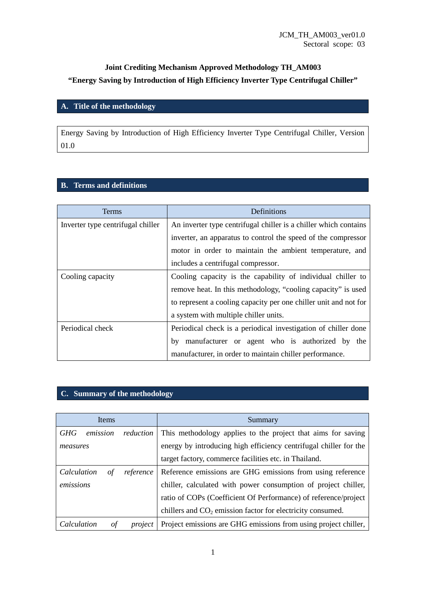# **Joint Crediting Mechanism Approved Methodology TH\_AM003 "Energy Saving by Introduction of High Efficiency Inverter Type Centrifugal Chiller"**

### **A. Title of the methodology**

Energy Saving by Introduction of High Efficiency Inverter Type Centrifugal Chiller, Version 01.0

### **B. Terms and definitions**

| <b>Terms</b>                      | Definitions                                                      |
|-----------------------------------|------------------------------------------------------------------|
| Inverter type centrifugal chiller | An inverter type centrifugal chiller is a chiller which contains |
|                                   | inverter, an apparatus to control the speed of the compressor    |
|                                   | motor in order to maintain the ambient temperature, and          |
|                                   | includes a centrifugal compressor.                               |
| Cooling capacity                  | Cooling capacity is the capability of individual chiller to      |
|                                   | remove heat. In this methodology, "cooling capacity" is used     |
|                                   | to represent a cooling capacity per one chiller unit and not for |
|                                   | a system with multiple chiller units.                            |
| Periodical check                  | Periodical check is a periodical investigation of chiller done   |
|                                   | manufacturer or agent who is authorized by the<br>by             |
|                                   | manufacturer, in order to maintain chiller performance.          |

## **C. Summary of the methodology**

| Items                  |           | Summary                                                           |
|------------------------|-----------|-------------------------------------------------------------------|
| <b>GHG</b><br>emission | reduction | This methodology applies to the project that aims for saving      |
| measures               |           | energy by introducing high efficiency centrifugal chiller for the |
|                        |           | target factory, commerce facilities etc. in Thailand.             |
| Calculation<br>οf      | reference | Reference emissions are GHG emissions from using reference        |
| emissions              |           | chiller, calculated with power consumption of project chiller,    |
|                        |           | ratio of COPs (Coefficient Of Performance) of reference/project   |
|                        |           | chillers and $CO2$ emission factor for electricity consumed.      |
| Calculation<br>οf      | project   | Project emissions are GHG emissions from using project chiller,   |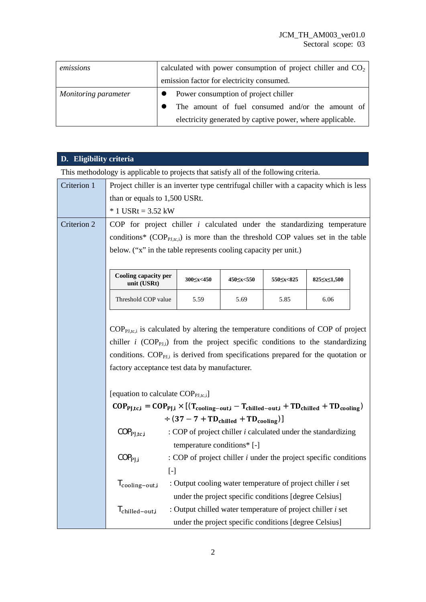| emissions            | calculated with power consumption of project chiller and $CO2$ |
|----------------------|----------------------------------------------------------------|
|                      | emission factor for electricity consumed.                      |
| Monitoring parameter | Power consumption of project chiller                           |
|                      | The amount of fuel consumed and/or the amount of               |
|                      | electricity generated by captive power, where applicable.      |

## **D. Eligibility criteria**

This methodology is applicable to projects that satisfy all of the following criteria.

| Criterion 1 | Project chiller is an inverter type centrifugal chiller with a capacity which is less                                                                           |                   |                                                                    |           |                                           |  |
|-------------|-----------------------------------------------------------------------------------------------------------------------------------------------------------------|-------------------|--------------------------------------------------------------------|-----------|-------------------------------------------|--|
|             | than or equals to 1,500 USRt.                                                                                                                                   |                   |                                                                    |           |                                           |  |
|             | $*$ 1 USRt = 3.52 kW                                                                                                                                            |                   |                                                                    |           |                                           |  |
| Criterion 2 | COP for project chiller $i$ calculated under the standardizing temperature                                                                                      |                   |                                                                    |           |                                           |  |
|             | conditions* ( $COP_{\text{PL},\text{tc},i}$ ) is more than the threshold COP values set in the table                                                            |                   |                                                                    |           |                                           |  |
|             | below. ("x" in the table represents cooling capacity per unit.)                                                                                                 |                   |                                                                    |           |                                           |  |
|             |                                                                                                                                                                 |                   |                                                                    |           |                                           |  |
|             | Cooling capacity per<br>unit (USRt)                                                                                                                             | $300 \le x < 450$ | 450 <<<<<<<<<<<<<                                                  | 550≤x<825 | 825 <s 1,500<="" <="" th=""><th></th></s> |  |
|             | Threshold COP value                                                                                                                                             | 5.59              | 5.69                                                               | 5.85      | 6.06                                      |  |
|             |                                                                                                                                                                 |                   |                                                                    |           |                                           |  |
|             | $COP_{\text{PLtci}}$ is calculated by altering the temperature conditions of COP of project                                                                     |                   |                                                                    |           |                                           |  |
|             | chiller <i>i</i> (COP <sub>PLi</sub> ) from the project specific conditions to the standardizing                                                                |                   |                                                                    |           |                                           |  |
|             | conditions. COP <sub>PJ</sub> is derived from specifications prepared for the quotation or                                                                      |                   |                                                                    |           |                                           |  |
|             | factory acceptance test data by manufacturer.                                                                                                                   |                   |                                                                    |           |                                           |  |
|             |                                                                                                                                                                 |                   |                                                                    |           |                                           |  |
|             | [equation to calculate $COP_{\text{PJ.tc,i}}$ ]                                                                                                                 |                   |                                                                    |           |                                           |  |
|             | $\text{COP}_{\text{PJ,tc,i}} = \text{COP}_{\text{PJ,i}} \times \left[ \left( T_{cooling-out,i} - T_{child-out,i} + T D_{child} + T D_{cooling} \right) \right.$ |                   |                                                                    |           |                                           |  |
|             | $\div (37 - 7 + TD_{\text{child}} + TD_{\text{cooling}})]$                                                                                                      |                   |                                                                    |           |                                           |  |
|             | COP <sub>PI,tc,i</sub>                                                                                                                                          |                   | : COP of project chiller $i$ calculated under the standardizing    |           |                                           |  |
|             | temperature conditions* [-]                                                                                                                                     |                   |                                                                    |           |                                           |  |
|             | COP <sub>PI.i</sub>                                                                                                                                             |                   | : COP of project chiller $i$ under the project specific conditions |           |                                           |  |
|             | $\left[ -\right]$                                                                                                                                               |                   |                                                                    |           |                                           |  |
|             | T <sub>cooling</sub> -out,i                                                                                                                                     |                   | : Output cooling water temperature of project chiller <i>i</i> set |           |                                           |  |
|             |                                                                                                                                                                 |                   | under the project specific conditions [degree Celsius]             |           |                                           |  |
|             | $T_{\rm children-out,i}$                                                                                                                                        |                   | : Output chilled water temperature of project chiller $i$ set      |           |                                           |  |
|             |                                                                                                                                                                 |                   | under the project specific conditions [degree Celsius]             |           |                                           |  |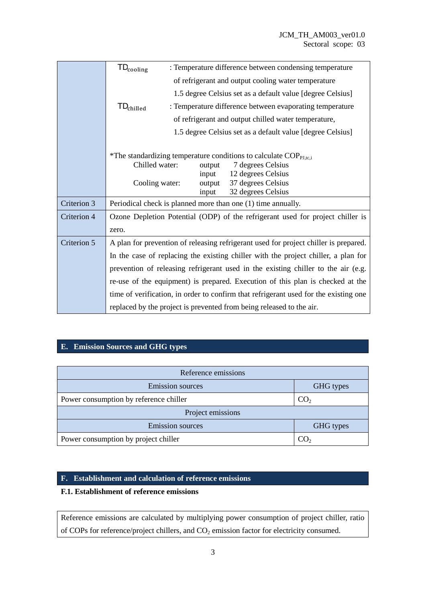|             | $TD_{cooling}$<br>: Temperature difference between condensing temperature            |  |  |
|-------------|--------------------------------------------------------------------------------------|--|--|
|             | of refrigerant and output cooling water temperature                                  |  |  |
|             | 1.5 degree Celsius set as a default value [degree Celsius]                           |  |  |
|             | $TD_{\text{child}}$<br>: Temperature difference between evaporating temperature      |  |  |
|             | of refrigerant and output chilled water temperature,                                 |  |  |
|             | 1.5 degree Celsius set as a default value [degree Celsius]                           |  |  |
|             |                                                                                      |  |  |
|             | *The standardizing temperature conditions to calculate $COP_{PI,tc,i}$               |  |  |
|             | Chilled water:<br>7 degrees Celsius<br>output<br>12 degrees Celsius<br>input         |  |  |
|             | 37 degrees Celsius<br>Cooling water:<br>output                                       |  |  |
|             | 32 degrees Celsius<br>input                                                          |  |  |
| Criterion 3 | Periodical check is planned more than one (1) time annually.                         |  |  |
| Criterion 4 | Ozone Depletion Potential (ODP) of the refrigerant used for project chiller is       |  |  |
|             | zero.                                                                                |  |  |
| Criterion 5 | A plan for prevention of releasing refrigerant used for project chiller is prepared. |  |  |
|             | In the case of replacing the existing chiller with the project chiller, a plan for   |  |  |
|             | prevention of releasing refrigerant used in the existing chiller to the air (e.g.    |  |  |
|             | re-use of the equipment) is prepared. Execution of this plan is checked at the       |  |  |
|             | time of verification, in order to confirm that refrigerant used for the existing one |  |  |
|             | replaced by the project is prevented from being released to the air.                 |  |  |

## **E. Emission Sources and GHG types**

| Reference emissions                    |                 |  |  |
|----------------------------------------|-----------------|--|--|
| <b>Emission sources</b>                | GHG types       |  |  |
| Power consumption by reference chiller | CO <sub>2</sub> |  |  |
| Project emissions                      |                 |  |  |
| <b>Emission sources</b>                | GHG types       |  |  |
| Power consumption by project chiller   |                 |  |  |

### **F. Establishment and calculation of reference emissions**

#### **F.1. Establishment of reference emissions**

Reference emissions are calculated by multiplying power consumption of project chiller, ratio of COPs for reference/project chillers, and CO<sub>2</sub> emission factor for electricity consumed.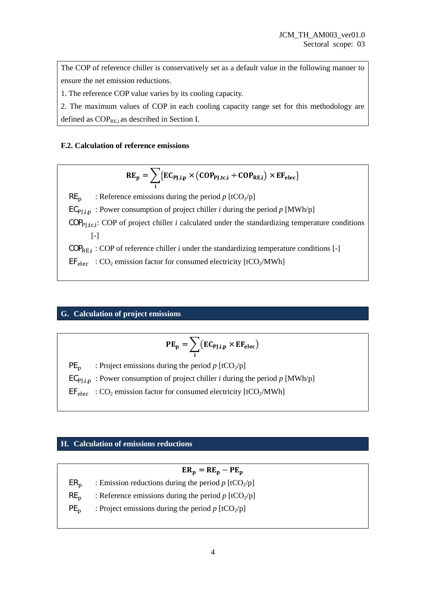The COP of reference chiller is conservatively set as a default value in the following manner to ensure the net emission reductions.

1. The reference COP value varies by its cooling capacity.

2. The maximum values of COP in each cooling capacity range set for this methodology are defined as  $COP_{REi}$  as described in Section I.

#### **F.2. Calculation of reference emissions**

$$
RE_p = \sum_i \{EC_{PJ,i,p} \times \left(COP_{PJ,tc,i} + COP_{RE,i}\right) \times EF_{elec}\}
$$

 $RE<sub>n</sub>$  : Reference emissions during the period *p* [tCO<sub>2</sub>/p]

 $EC_{PLin}$ : Power consumption of project chiller *i* during the period *p* [MWh/p]

 $COP<sub>PJ,tc,i</sub>$ : COP of project chiller *i* calculated under the standardizing temperature conditions [-]

 $\text{COP}_{\text{RE},i}$ : COP of reference chiller *i* under the standardizing temperature conditions [-]

 $EF_{\text{elec}}$  : CO<sub>2</sub> emission factor for consumed electricity [tCO<sub>2</sub>/MWh]

#### **G. Calculation of project emissions**

$$
PE_p = \sum_i (EC_{PJ,i,p} \times EF_{elec})
$$

 $PE<sub>n</sub>$  : Project emissions during the period *p* [tCO<sub>2</sub>/p]

 $EC_{PLin}$ : Power consumption of project chiller *i* during the period *p* [MWh/p]

 $EF_{elec}$  : CO<sub>2</sub> emission factor for consumed electricity [tCO<sub>2</sub>/MWh]

#### **H. Calculation of emissions reductions**

 $ER_p = RE_p - PE_p$  $ER_n$  : Emission reductions during the period p [tCO<sub>2</sub>/p]  $RE<sub>p</sub>$  : Reference emissions during the period *p* [tCO<sub>2</sub>/p]  $PE<sub>n</sub>$  : Project emissions during the period *p* [tCO<sub>2</sub>/p]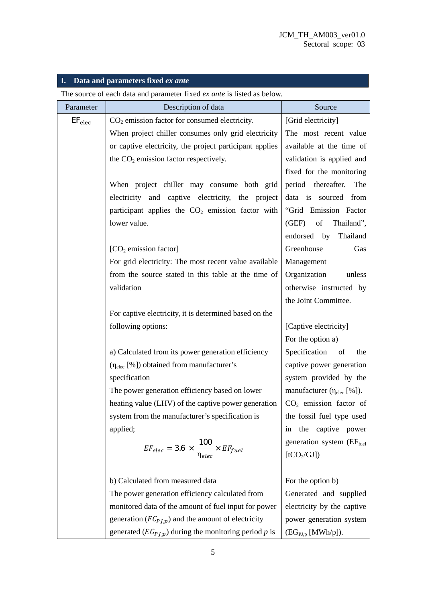## **I. Data and parameters fixed** *ex ante*

The source of each data and parameter fixed *ex ante* is listed as below.

| Parameter   | Description of data                                               | Source                                                       |
|-------------|-------------------------------------------------------------------|--------------------------------------------------------------|
| $EF_{elec}$ | $CO2$ emission factor for consumed electricity.                   | [Grid electricity]                                           |
|             | When project chiller consumes only grid electricity               | The most recent value                                        |
|             | or captive electricity, the project participant applies           | available at the time of                                     |
|             | the $CO2$ emission factor respectively.                           | validation is applied and                                    |
|             |                                                                   | fixed for the monitoring                                     |
|             | When project chiller may consume both grid                        | period thereafter.<br>The                                    |
|             | electricity<br>and captive electricity, the project               | data is sourced from                                         |
|             | participant applies the $CO2$ emission factor with                | "Grid Emission Factor                                        |
|             | lower value.                                                      | (GEF)<br>of<br>Thailand",                                    |
|             |                                                                   | endorsed by<br>Thailand                                      |
|             | $[CO2$ emission factor]                                           | Greenhouse<br>Gas                                            |
|             | For grid electricity: The most recent value available             | Management                                                   |
|             | from the source stated in this table at the time of               | Organization<br>unless                                       |
|             | validation                                                        | otherwise instructed by                                      |
|             |                                                                   | the Joint Committee.                                         |
|             | For captive electricity, it is determined based on the            |                                                              |
|             | following options:                                                | [Captive electricity]                                        |
|             |                                                                   | For the option a)                                            |
|             | a) Calculated from its power generation efficiency                | Specification<br>of<br>the                                   |
|             | $(\eta_{elec} [\%])$ obtained from manufacturer's                 | captive power generation                                     |
|             | specification                                                     | system provided by the                                       |
|             | The power generation efficiency based on lower                    | manufacturer $(\eta_{elec} [\%])$ .                          |
|             | heating value (LHV) of the captive power generation               | $CO2$ emission factor of                                     |
|             | system from the manufacturer's specification is                   | the fossil fuel type used                                    |
|             | applied;                                                          | the captive power<br>1n                                      |
|             | $EF_{elec} = 3.6 \times \frac{100}{\eta_{elec}} \times EF_{fuel}$ | generation system (EF <sub>fuel</sub>                        |
|             |                                                                   | [tCO <sub>2</sub> /GI])                                      |
|             |                                                                   |                                                              |
|             | b) Calculated from measured data                                  | For the option b)                                            |
|             | The power generation efficiency calculated from                   | Generated and supplied                                       |
|             | monitored data of the amount of fuel input for power              | electricity by the captive                                   |
|             | generation ( $FC_{P,I,p}$ ) and the amount of electricity         | power generation system                                      |
|             | generated $(EG_{PJ,p})$ during the monitoring period p is         | $(\mathrm{EG}_{\mathrm{PI},p} \left[\mathrm{MWh}/p\right]).$ |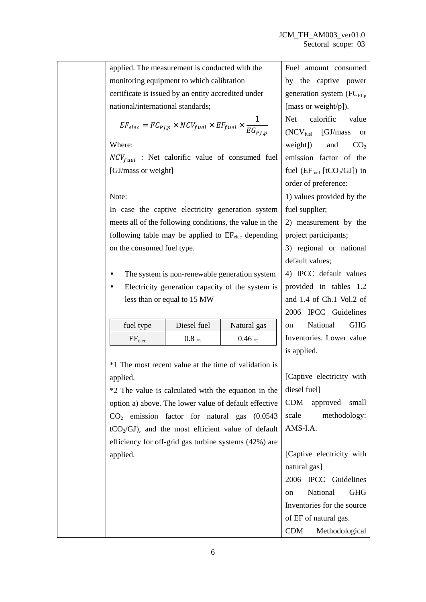Fuel amount consumed

applied. The measurement is conducted with the monitoring equipment to which calibration certificate is issued by an entity accredited under national/international standards;

$$
EF_{elec} = FC_{PJ,p} \times NCV_{fuel} \times EF_{fuel} \times \frac{1}{EG_{PJ,p}}
$$

Where:

 $NCV_{fuel}$  : Net calorific value of consumed fuel [GJ/mass or weight]

Note:

In case the captive electricity generation system meets all of the following conditions, the value in the following table may be applied to  $EF_{elec}$  depending on the consumed fuel type.

- The system is non-renewable generation system
- Electricity generation capacity of the system is less than or equal to 15 MW

| fuel type   | Diesel fuel | Natural gas |
|-------------|-------------|-------------|
| $EF_{elec}$ | $0.8_{*1}$  | $0.46_{*2}$ |

\*1 The most recent value at the time of validation is applied.

\*2 The value is calculated with the equation in the option a) above. The lower value of default effective  $CO<sub>2</sub>$  emission factor for natural gas  $(0.0543)$  $tCO<sub>2</sub>/GI)$ , and the most efficient value of default efficiency for off-grid gas turbine systems (42%) are applied.

by the captive power generation system  $(FC_{PI,p})$ [mass or weight/p]). Net calorific value  $(NCV<sub>fuel</sub>$  [GJ/mass or weight]) and  $CO<sub>2</sub>$ emission factor of the fuel  $(EF_{\text{fuel}}$  [tCO<sub>2</sub>/GJ]) in order of preference:

1) values provided by the fuel supplier:

2) measurement by the project participants;

3) regional or national default values;

4) IPCC default values provided in tables 1.2 and 1.4 of Ch.1 Vol.2 of 2006 IPCC Guidelines on National GHG Inventories. Lower value is applied.

[Captive electricity with diesel fuel] CDM approved small scale methodology: AMS-I.A.

[Captive electricity with natural gas] 2006 IPCC Guidelines on National GHG Inventories for the source of EF of natural gas. CDM Methodological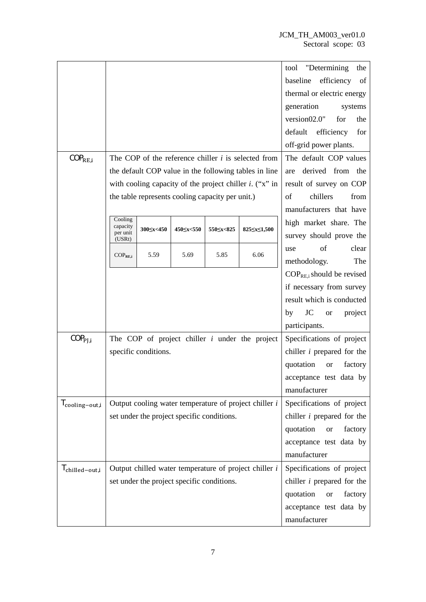|                          |                                                         |                                                  |                   |                                   |                                                            | "Determining"<br>tool<br>the   |
|--------------------------|---------------------------------------------------------|--------------------------------------------------|-------------------|-----------------------------------|------------------------------------------------------------|--------------------------------|
|                          |                                                         |                                                  |                   |                                   | efficiency<br>baseline<br>of                               |                                |
|                          |                                                         |                                                  |                   |                                   | thermal or electric energy                                 |                                |
|                          |                                                         |                                                  |                   |                                   | generation<br>systems                                      |                                |
|                          |                                                         |                                                  |                   |                                   | version02.0"<br>for<br>the                                 |                                |
|                          |                                                         |                                                  |                   |                                   |                                                            | default efficiency<br>for      |
|                          |                                                         |                                                  |                   |                                   |                                                            | off-grid power plants.         |
| $COP_{RE,i}$             |                                                         |                                                  |                   |                                   | The COP of the reference chiller $i$ is selected from      | The default COP values         |
|                          |                                                         |                                                  |                   |                                   | the default COP value in the following tables in line      | derived from the<br>are        |
|                          |                                                         |                                                  |                   |                                   | with cooling capacity of the project chiller $i$ . ("x" in | result of survey on COP        |
|                          |                                                         | the table represents cooling capacity per unit.) |                   |                                   |                                                            | chillers<br>from<br>of         |
|                          |                                                         |                                                  |                   |                                   |                                                            | manufacturers that have        |
|                          | Cooling<br>capacity                                     |                                                  |                   |                                   |                                                            | high market share. The         |
|                          | per unit<br>(USRt)                                      | 300 5x < 450                                     | 450 <<<<<<<<<<<<< |                                   | 825 <s>50</s>                                              | survey should prove the        |
|                          |                                                         | 5.59                                             | 5.69              | 5.85                              | 6.06                                                       | of<br>clear<br>use             |
|                          | $COP_{RE,i}$                                            |                                                  |                   |                                   |                                                            | The<br>methodology.            |
|                          |                                                         |                                                  |                   |                                   |                                                            | $COP_{RE,i}$ should be revised |
|                          |                                                         |                                                  |                   |                                   |                                                            | if necessary from survey       |
|                          |                                                         |                                                  |                   |                                   | result which is conducted                                  |                                |
|                          |                                                         |                                                  |                   |                                   | JC<br>by<br>project<br><b>or</b>                           |                                |
|                          |                                                         |                                                  |                   | participants.                     |                                                            |                                |
| COP <sub>PI,i</sub>      | The COP of project chiller $i$ under the project        |                                                  |                   | Specifications of project         |                                                            |                                |
|                          | specific conditions.                                    |                                                  |                   | chiller $i$ prepared for the      |                                                            |                                |
|                          |                                                         |                                                  |                   | quotation<br>factory<br><b>or</b> |                                                            |                                |
|                          |                                                         |                                                  |                   |                                   |                                                            | acceptance test data by        |
|                          |                                                         |                                                  |                   |                                   |                                                            | manufacturer                   |
| $T_{\rm cooling-out,i}$  | Output cooling water temperature of project chiller $i$ |                                                  |                   | Specifications of project         |                                                            |                                |
|                          | set under the project specific conditions.              |                                                  |                   | chiller $i$ prepared for the      |                                                            |                                |
|                          |                                                         |                                                  |                   | quotation<br>factory<br><b>or</b> |                                                            |                                |
|                          |                                                         |                                                  |                   |                                   |                                                            | acceptance test data by        |
|                          |                                                         |                                                  |                   |                                   |                                                            | manufacturer                   |
| $T_{\rm children-out,i}$ | Output chilled water temperature of project chiller i   |                                                  |                   |                                   | Specifications of project                                  |                                |
|                          | set under the project specific conditions.              |                                                  |                   | chiller $i$ prepared for the      |                                                            |                                |
|                          |                                                         |                                                  |                   | quotation<br>factory<br><b>or</b> |                                                            |                                |
|                          |                                                         |                                                  |                   | acceptance test data by           |                                                            |                                |
|                          |                                                         |                                                  |                   |                                   |                                                            | manufacturer                   |